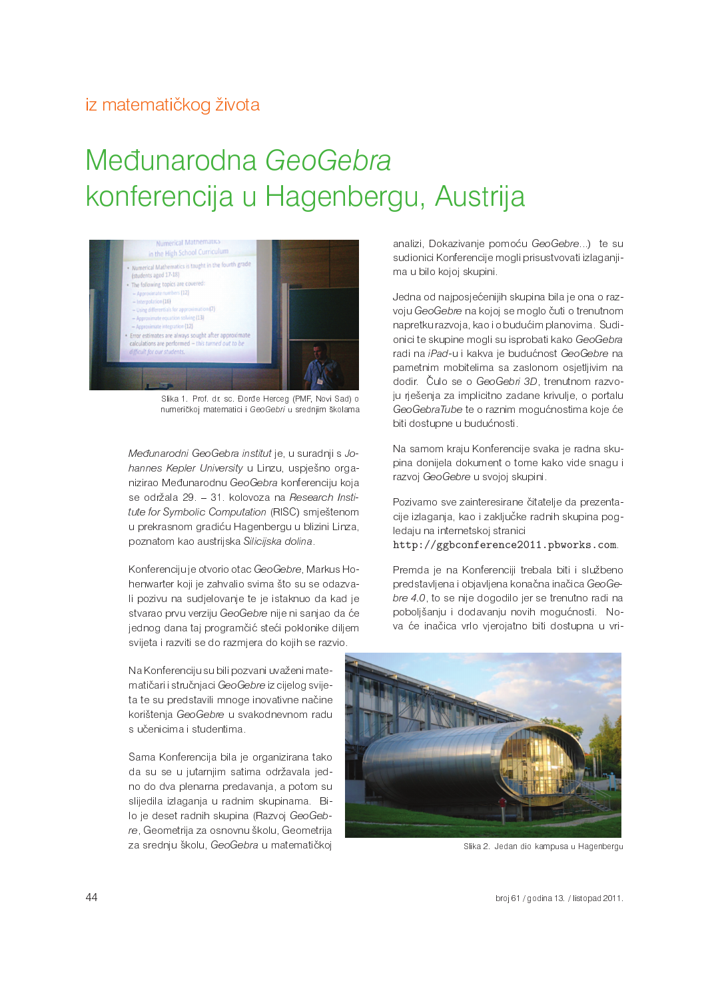## iz matematičkog života

## Međunarodna GeoGebra konferencija u Hagenbergu, Austrija



Slika 1. Prof. dr. sc. Đorđe Herceg (PMF, Novi Sad) o numeričkoj matematici i GeoGebri u srednjim školama

Međunarodni GeoGebra institut je, u suradnji s Johannes Kepler University u Linzu, uspješno organizirao Međunarodnu GeoGebra konferenciju koja se održala 29. - 31. kolovoza na Research Institute for Symbolic Computation (RISC) smještenom u prekrasnom gradiću Hagenbergu u blizini Linza, poznatom kao austrijska Silicijska dolina.

Konferenciju je otvorio otac GeoGebre, Markus Hohenwarter koji je zahvalio svima što su se odazvali pozivu na sudjelovanje te je istaknuo da kad je stvarao prvu verziju GeoGebre nije ni sanjao da će jednog dana taj programčić steći poklonike diljem svijeta i razviti se do razmjera do kojih se razvio.

Na Konferenciju su bili pozvani uvaženi matematičari i stručnjaci GeoGebre iz cijelog svijeta te su predstavili mnoge inovativne načine korištenja GeoGebre u svakodnevnom radu s učenicima i studentima.

Sama Konferencija bila je organizirana tako da su se u jutarnjim satima održavala jedno do dva plenarna predavanja, a potom su slijedila izlaganja u radnim skupinama. Bilo je deset radnih skupina (Razvoj GeoGebre, Geometrija za osnovnu školu, Geometrija za srednju školu, GeoGebra u matematičkoj

analizi, Dokazivanje pomoću GeoGebre...) te su sudionici Konferencije mogli prisustvovati izlaganjima u bilo kojoj skupini.

Jedna od najposjećenijih skupina bila je ona o razvoju GeoGebre na kojoj se moglo čuti o trenutnom napretku razvoja, kao i o budućim planovima. Sudionici te skupine mogli su isprobati kako GeoGebra radi na iPad-u i kakva je budućnost GeoGebre na pametnim mobitelima sa zaslonom osjetljivim na dodir. Čulo se o GeoGebri 3D, trenutnom razvoju riešenja za implicitno zadane krivulje, o portalu GeoGebraTube te o raznim mogućnostima koje će biti dostupne u budućnosti.

Na samom kraju Konferencije svaka je radna skupina donijela dokument o tome kako vide snagu i razvoj GeoGebre u svojoj skupini.

Pozivamo sve zainteresirane čitatelje da prezentacije izlaganja, kao i zaključke radnih skupina pogledaju na internetskoj stranici

http://ggbconference2011.pbworks.com

Premda je na Konferenciji trebala biti i službeno predstavljena i objavljena konačna inačica GeoGebre 4.0, to se nije dogodilo jer se trenutno radi na poboljšanju i dodavanju novih mogućnosti. Nova će inačica vrlo vjerojatno biti dostupna u vri-



Slika 2. Jedan dio kampusa u Hagenbergu